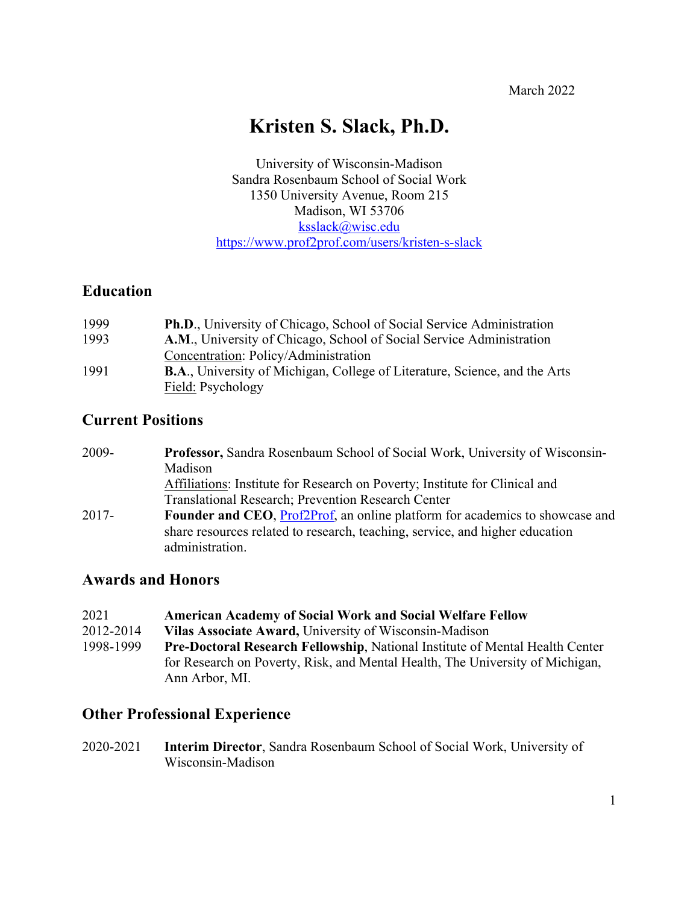# **Kristen S. Slack, Ph.D.**

University of Wisconsin-Madison Sandra Rosenbaum School of Social Work 1350 University Avenue, Room 215 Madison, WI 53706 ksslack@wisc.edu https://www.prof2prof.com/users/kristen-s-slack

## **Education**

| 1999 | <b>Ph.D.</b> , University of Chicago, School of Social Service Administration     |
|------|-----------------------------------------------------------------------------------|
| 1993 | A.M., University of Chicago, School of Social Service Administration              |
|      | Concentration: Policy/Administration                                              |
| 1991 | <b>B.A., University of Michigan, College of Literature, Science, and the Arts</b> |
|      | Field: Psychology                                                                 |

## **Current Positions**

| 2009-    | Professor, Sandra Rosenbaum School of Social Work, University of Wisconsin-                     |
|----------|-------------------------------------------------------------------------------------------------|
|          | Madison                                                                                         |
|          | Affiliations: Institute for Research on Poverty; Institute for Clinical and                     |
|          | Translational Research; Prevention Research Center                                              |
| $2017 -$ | <b>Founder and CEO, Prof2Prof, an online platform for academics to showcase and</b>             |
|          | share resources related to research, teaching, service, and higher education<br>administration. |

## **Awards and Honors**

| 2021      | <b>American Academy of Social Work and Social Welfare Fellow</b>                    |
|-----------|-------------------------------------------------------------------------------------|
| 2012-2014 | Vilas Associate Award, University of Wisconsin-Madison                              |
| 1998-1999 | <b>Pre-Doctoral Research Fellowship, National Institute of Mental Health Center</b> |
|           | for Research on Poverty, Risk, and Mental Health, The University of Michigan,       |
|           | Ann Arbor, MI.                                                                      |

## **Other Professional Experience**

2020-2021 **Interim Director**, Sandra Rosenbaum School of Social Work, University of Wisconsin-Madison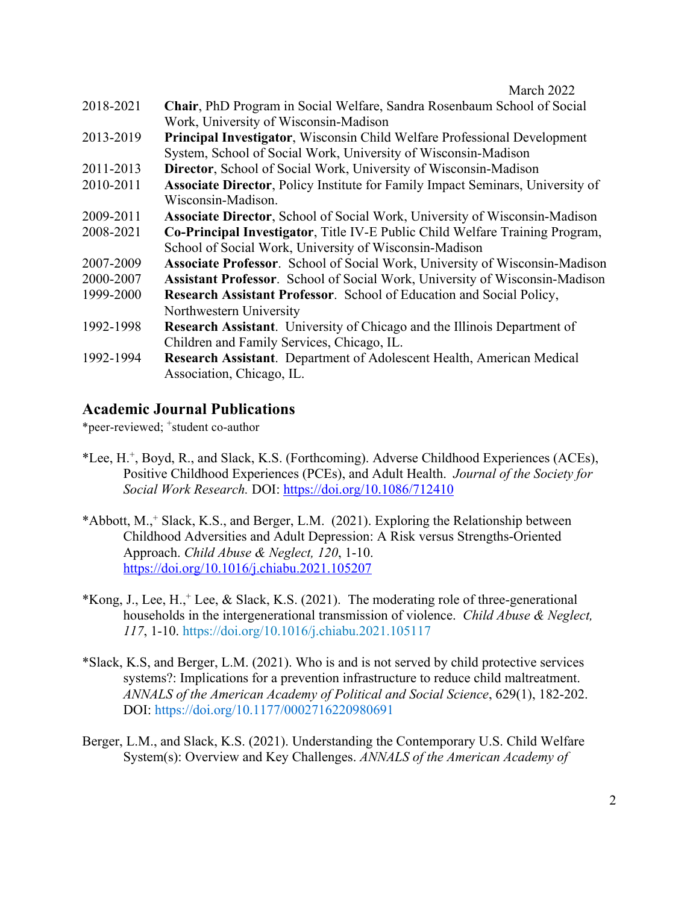- 2018-2021 **Chair**, PhD Program in Social Welfare, Sandra Rosenbaum School of Social Work, University of Wisconsin-Madison
- 2013-2019 **Principal Investigator**, Wisconsin Child Welfare Professional Development System, School of Social Work, University of Wisconsin-Madison
- 2011-2013 **Director**, School of Social Work, University of Wisconsin-Madison
- 2010-2011 **Associate Director**, Policy Institute for Family Impact Seminars, University of Wisconsin-Madison.
- 2009-2011 **Associate Director**, School of Social Work, University of Wisconsin-Madison
- 2008-2021 **Co-Principal Investigator**, Title IV-E Public Child Welfare Training Program, School of Social Work, University of Wisconsin-Madison
- 2007-2009 **Associate Professor**. School of Social Work, University of Wisconsin-Madison
- 2000-2007 **Assistant Professor**. School of Social Work, University of Wisconsin-Madison
- 1999-2000 **Research Assistant Professor**. School of Education and Social Policy, Northwestern University
- 1992-1998 **Research Assistant**. University of Chicago and the Illinois Department of Children and Family Services, Chicago, IL.
- 1992-1994 **Research Assistant**.Department of Adolescent Health, American Medical Association, Chicago, IL.

## **Academic Journal Publications**

\*peer-reviewed; +student co-author

- \*Lee, H.+, Boyd, R., and Slack, K.S. (Forthcoming). Adverse Childhood Experiences (ACEs), Positive Childhood Experiences (PCEs), and Adult Health. *Journal of the Society for Social Work Research.* DOI: https://doi.org/10.1086/712410
- \*Abbott, M.,+ Slack, K.S., and Berger, L.M. (2021). Exploring the Relationship between Childhood Adversities and Adult Depression: A Risk versus Strengths-Oriented Approach. *Child Abuse & Neglect, 120*, 1-10. https://doi.org/10.1016/j.chiabu.2021.105207
- \*Kong, J., Lee, H., Lee, & Slack, K.S. (2021). The moderating role of three-generational households in the intergenerational transmission of violence. *Child Abuse & Neglect, 117*, 1-10. https://doi.org/10.1016/j.chiabu.2021.105117
- \*Slack, K.S, and Berger, L.M. (2021). Who is and is not served by child protective services systems?: Implications for a prevention infrastructure to reduce child maltreatment. *ANNALS of the American Academy of Political and Social Science*, 629(1), 182-202. DOI: https://doi.org/10.1177/0002716220980691
- Berger, L.M., and Slack, K.S. (2021). Understanding the Contemporary U.S. Child Welfare System(s): Overview and Key Challenges. *ANNALS of the American Academy of*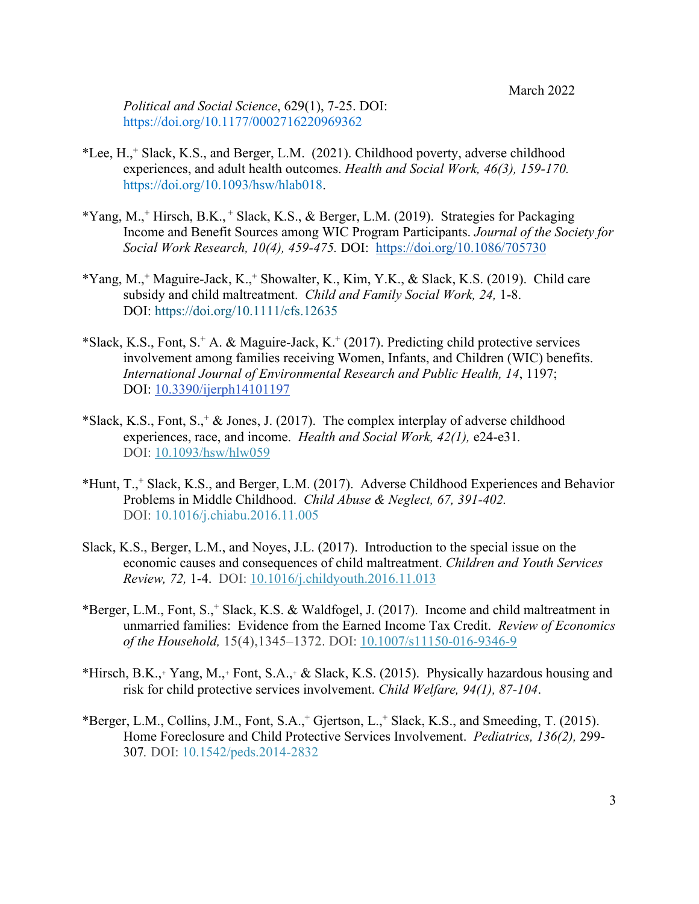*Political and Social Science*, 629(1), 7-25. DOI: https://doi.org/10.1177/0002716220969362

- \*Lee, H.,+ Slack, K.S., and Berger, L.M. (2021). Childhood poverty, adverse childhood experiences, and adult health outcomes. *Health and Social Work, 46(3), 159-170.*  https://doi.org/10.1093/hsw/hlab018.
- \*Yang, M.,+ Hirsch, B.K., <sup>+</sup> Slack, K.S., & Berger, L.M. (2019). Strategies for Packaging Income and Benefit Sources among WIC Program Participants. *Journal of the Society for Social Work Research, 10(4), 459-475.* DOI: https://doi.org/10.1086/705730
- \*Yang, M.,+ Maguire-Jack, K.,+ Showalter, K., Kim, Y.K., & Slack, K.S. (2019). Child care subsidy and child maltreatment. *Child and Family Social Work, 24,* 1-8. DOI: https://doi.org/10.1111/cfs.12635
- \*Slack, K.S., Font, S.<sup>+</sup> A. & Maguire-Jack, K.<sup>+</sup> (2017). Predicting child protective services involvement among families receiving Women, Infants, and Children (WIC) benefits. *International Journal of Environmental Research and Public Health, 14*, 1197; DOI: 10.3390/ijerph14101197
- \*Slack, K.S., Font, S.,  $*$  & Jones, J. (2017). The complex interplay of adverse childhood experiences, race, and income. *Health and Social Work, 42(1),* e24-e31*.*  DOI: 10.1093/hsw/hlw059
- \*Hunt, T.,+ Slack, K.S., and Berger, L.M. (2017). Adverse Childhood Experiences and Behavior Problems in Middle Childhood. *Child Abuse & Neglect, 67, 391-402.* DOI: 10.1016/j.chiabu.2016.11.005
- Slack, K.S., Berger, L.M., and Noyes, J.L. (2017). Introduction to the special issue on the economic causes and consequences of child maltreatment. *Children and Youth Services Review, 72,* 1-4. DOI: 10.1016/j.childyouth.2016.11.013
- \*Berger, L.M., Font, S.,+ Slack, K.S. & Waldfogel, J. (2017). Income and child maltreatment in unmarried families: Evidence from the Earned Income Tax Credit. *Review of Economics of the Household,* 15(4),1345–1372. DOI: 10.1007/s11150-016-9346-9
- \*Hirsch, B.K.,<sup>+</sup> Yang, M.,<sup>+</sup> Font, S.A.,<sup>+</sup> & Slack, K.S. (2015). Physically hazardous housing and risk for child protective services involvement. *Child Welfare, 94(1), 87-104*.
- \*Berger, L.M., Collins, J.M., Font, S.A., Gjertson, L., Slack, K.S., and Smeeding, T. (2015). Home Foreclosure and Child Protective Services Involvement. *Pediatrics, 136(2),* 299- 307*.* DOI: 10.1542/peds.2014-2832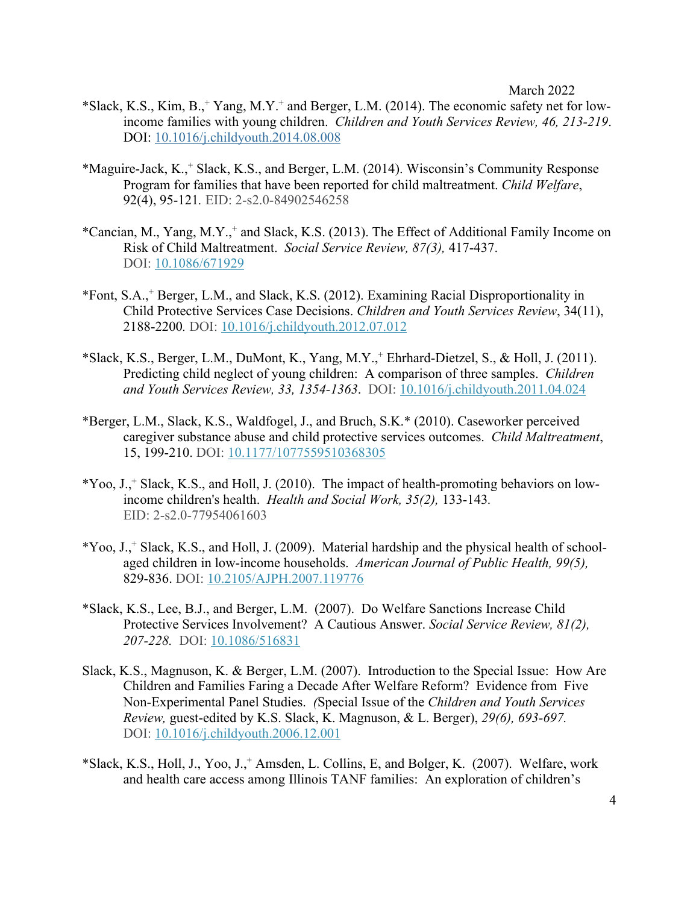- \*Slack, K.S., Kim, B.,+ Yang, M.Y.+ and Berger, L.M. (2014). The economic safety net for lowincome families with young children. *Children and Youth Services Review, 46, 213-219*. DOI: 10.1016/j.childyouth.2014.08.008
- \*Maguire-Jack, K., <sup>+</sup> Slack, K.S., and Berger, L.M. (2014). Wisconsin's Community Response Program for families that have been reported for child maltreatment. *Child Welfare*, 92(4), 95-121*.* EID: 2-s2.0-84902546258
- \*Cancian, M., Yang, M.Y.,+ and Slack, K.S. (2013). The Effect of Additional Family Income on Risk of Child Maltreatment. *Social Service Review, 87(3),* 417-437. DOI: 10.1086/671929
- \*Font, S.A., <sup>+</sup> Berger, L.M., and Slack, K.S. (2012). Examining Racial Disproportionality in Child Protective Services Case Decisions. *Children and Youth Services Review*, 34(11), 2188-2200*.* DOI: 10.1016/j.childyouth.2012.07.012
- \*Slack, K.S., Berger, L.M., DuMont, K., Yang, M.Y.,+ Ehrhard-Dietzel, S., & Holl, J. (2011). Predicting child neglect of young children: A comparison of three samples. *Children and Youth Services Review, 33, 1354-1363*. DOI: 10.1016/j.childyouth.2011.04.024
- \*Berger, L.M., Slack, K.S., Waldfogel, J., and Bruch, S.K.\* (2010). Caseworker perceived caregiver substance abuse and child protective services outcomes. *Child Maltreatment*, 15, 199-210. DOI: 10.1177/1077559510368305
- $*$ Yoo, J., $*$  Slack, K.S., and Holl, J. (2010). The impact of health-promoting behaviors on lowincome children's health. *Health and Social Work, 35(2),* 133-143*.*  EID: 2-s2.0-77954061603
- \*Yoo, J.,+ Slack, K.S., and Holl, J. (2009). Material hardship and the physical health of schoolaged children in low-income households. *American Journal of Public Health, 99(5),*  829-836. DOI: 10.2105/AJPH.2007.119776
- \*Slack, K.S., Lee, B.J., and Berger, L.M. (2007). Do Welfare Sanctions Increase Child Protective Services Involvement? A Cautious Answer. *Social Service Review, 81(2), 207-228.* DOI: 10.1086/516831
- Slack, K.S., Magnuson, K. & Berger, L.M. (2007). Introduction to the Special Issue: How Are Children and Families Faring a Decade After Welfare Reform? Evidence from Five Non-Experimental Panel Studies. *(*Special Issue of the *Children and Youth Services Review,* guest-edited by K.S. Slack, K. Magnuson, & L. Berger), *29(6), 693-697.*  DOI: 10.1016/j.childyouth.2006.12.001
- \*Slack, K.S., Holl, J., Yoo, J.,+ Amsden, L. Collins, E, and Bolger, K. (2007). Welfare, work and health care access among Illinois TANF families: An exploration of children's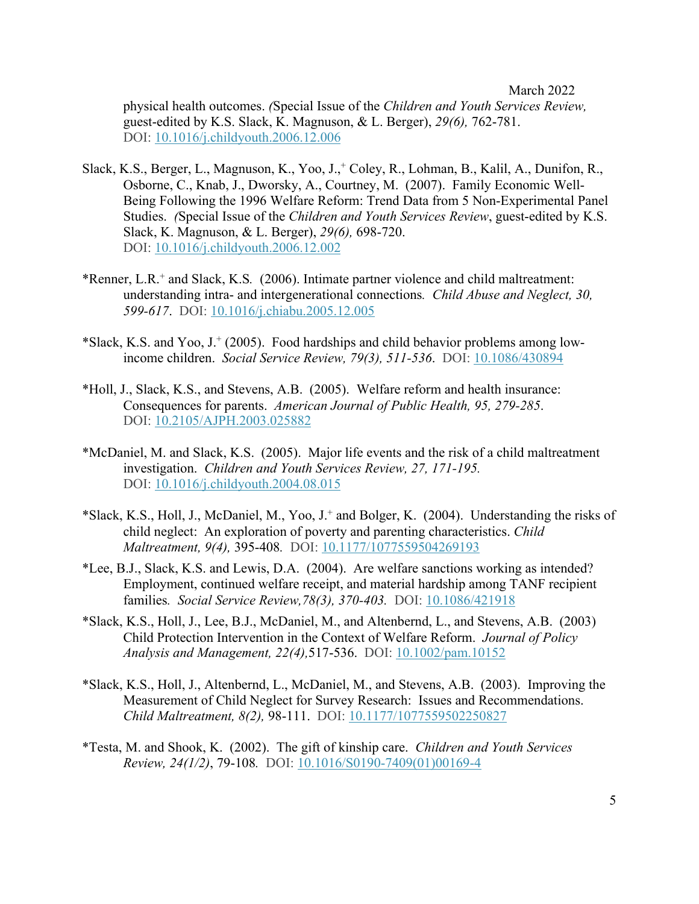physical health outcomes. *(*Special Issue of the *Children and Youth Services Review,* guest-edited by K.S. Slack, K. Magnuson, & L. Berger), *29(6),* 762-781. DOI: 10.1016/j.childyouth.2006.12.006

- Slack, K.S., Berger, L., Magnuson, K., Yoo, J.,<sup>+</sup> Coley, R., Lohman, B., Kalil, A., Dunifon, R., Osborne, C., Knab, J., Dworsky, A., Courtney, M. (2007). Family Economic Well-Being Following the 1996 Welfare Reform: Trend Data from 5 Non-Experimental Panel Studies. *(*Special Issue of the *Children and Youth Services Review*, guest-edited by K.S. Slack, K. Magnuson, & L. Berger), *29(6),* 698-720. DOI: 10.1016/j.childyouth.2006.12.002
- \*Renner, L.R. <sup>+</sup> and Slack, K.S*.* (2006). Intimate partner violence and child maltreatment: understanding intra- and intergenerational connections*. Child Abuse and Neglect, 30, 599-617*. DOI: 10.1016/j.chiabu.2005.12.005
- \*Slack, K.S. and Yoo,  $J<sup>+</sup>$  (2005). Food hardships and child behavior problems among lowincome children. *Social Service Review, 79(3), 511-536*. DOI: 10.1086/430894
- \*Holl, J., Slack, K.S., and Stevens, A.B. (2005). Welfare reform and health insurance: Consequences for parents. *American Journal of Public Health, 95, 279-285*. DOI: 10.2105/AJPH.2003.025882
- \*McDaniel, M. and Slack, K.S. (2005). Major life events and the risk of a child maltreatment investigation. *Children and Youth Services Review, 27, 171-195.* DOI: 10.1016/j.childyouth.2004.08.015
- \*Slack, K.S., Holl, J., McDaniel, M., Yoo, J.+ and Bolger, K. (2004). Understanding the risks of child neglect: An exploration of poverty and parenting characteristics. *Child Maltreatment, 9(4),* 395-408*.* DOI: 10.1177/1077559504269193
- \*Lee, B.J., Slack, K.S. and Lewis, D.A. (2004). Are welfare sanctions working as intended? Employment, continued welfare receipt, and material hardship among TANF recipient families*. Social Service Review,78(3), 370-403.* DOI: 10.1086/421918
- \*Slack, K.S., Holl, J., Lee, B.J., McDaniel, M., and Altenbernd, L., and Stevens, A.B. (2003) Child Protection Intervention in the Context of Welfare Reform. *Journal of Policy Analysis and Management, 22(4),*517-536. DOI: 10.1002/pam.10152
- \*Slack, K.S., Holl, J., Altenbernd, L., McDaniel, M., and Stevens, A.B. (2003). Improving the Measurement of Child Neglect for Survey Research: Issues and Recommendations. *Child Maltreatment, 8(2),* 98-111. DOI: 10.1177/1077559502250827
- \*Testa, M. and Shook, K. (2002). The gift of kinship care. *Children and Youth Services Review, 24(1/2)*, 79-108*.* DOI: 10.1016/S0190-7409(01)00169-4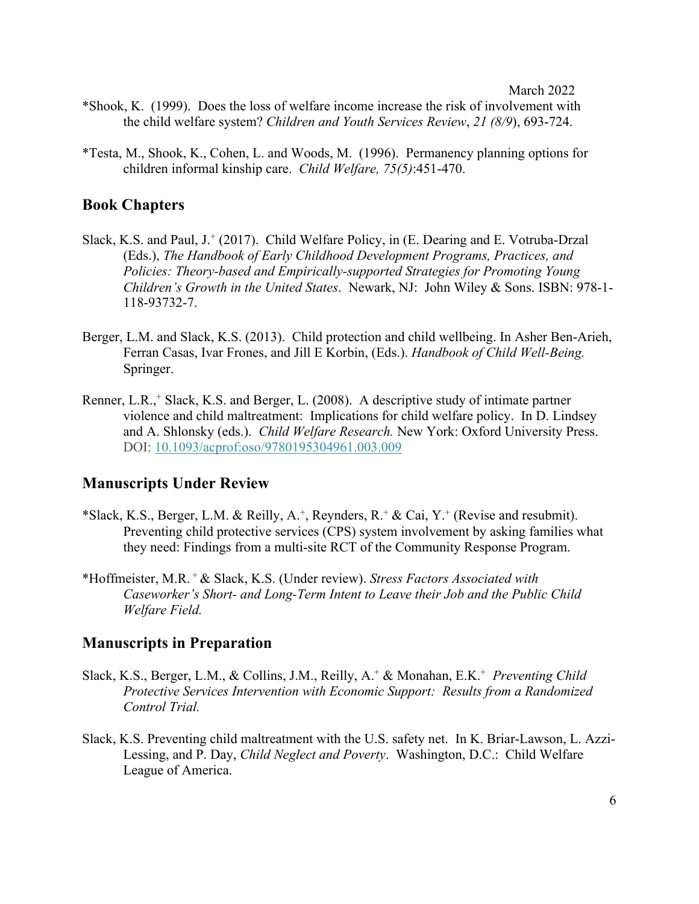- \*Shook, K. (1999). Does the loss of welfare income increase the risk of involvement with the child welfare system? *Children and Youth Services Review*, *21 (8/9*), 693-724.
- \*Testa, M., Shook, K., Cohen, L. and Woods, M. (1996). Permanency planning options for children informal kinship care. *Child Welfare, 75(5)*:451-470.

### **Book Chapters**

- Slack, K.S. and Paul, J.<sup>+</sup> (2017). Child Welfare Policy, in (E. Dearing and E. Votruba-Drzal (Eds.), *The Handbook of Early Childhood Development Programs, Practices, and Policies: Theory-based and Empirically-supported Strategies for Promoting Young Children's Growth in the United States*. Newark, NJ: John Wiley & Sons. ISBN: 978-1- 118-93732-7.
- Berger, L.M. and Slack, K.S. (2013). Child protection and child wellbeing. In Asher Ben-Arieh, Ferran Casas, Ivar Frones, and Jill E Korbin, (Eds.). *Handbook of Child Well-Being.* Springer.
- Renner, L.R.,<sup>+</sup> Slack, K.S. and Berger, L. (2008). A descriptive study of intimate partner violence and child maltreatment: Implications for child welfare policy. In D. Lindsey and A. Shlonsky (eds.). *Child Welfare Research.* New York: Oxford University Press. DOI: 10.1093/acprof:oso/9780195304961.003.009

### **Manuscripts Under Review**

- \*Slack, K.S., Berger, L.M. & Reilly, A.<sup>+</sup>, Reynders, R.<sup>+</sup> & Cai, Y.<sup>+</sup> (Revise and resubmit). Preventing child protective services (CPS) system involvement by asking families what they need: Findings from a multi-site RCT of the Community Response Program.
- \*Hoffmeister, M.R. + & Slack, K.S. (Under review). *Stress Factors Associated with Caseworker's Short- and Long-Term Intent to Leave their Job and the Public Child Welfare Field.*

### **Manuscripts in Preparation**

- Slack, K.S., Berger, L.M., & Collins, J.M., Reilly, A.+ & Monahan, E.K.+ *Preventing Child Protective Services Intervention with Economic Support: Results from a Randomized Control Trial.*
- Slack, K.S. Preventing child maltreatment with the U.S. safety net. In K. Briar-Lawson, L. Azzi-Lessing, and P. Day, *Child Neglect and Poverty*. Washington, D.C.: Child Welfare League of America.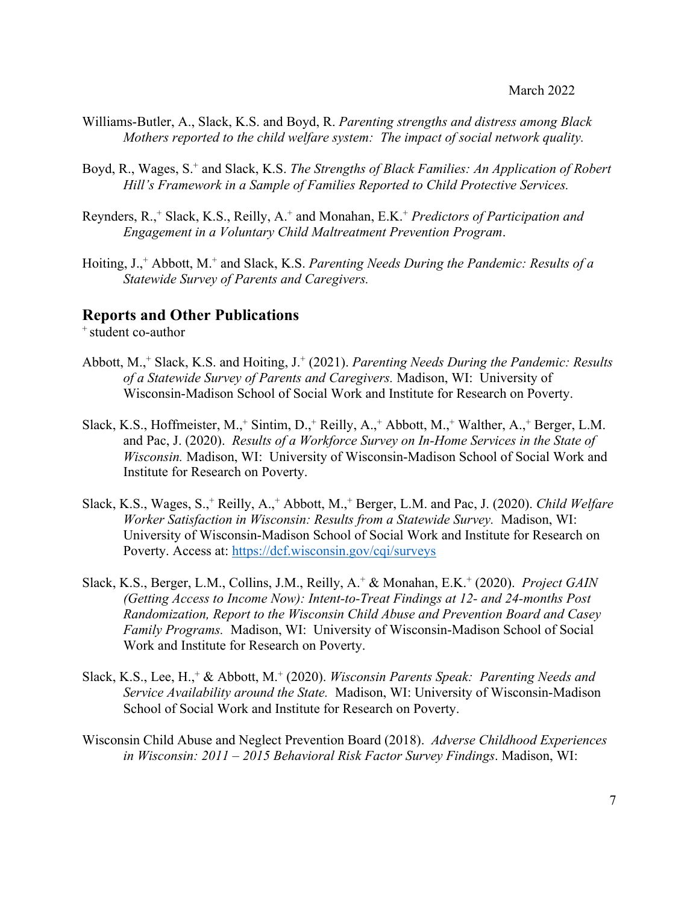- Williams-Butler, A., Slack, K.S. and Boyd, R. *Parenting strengths and distress among Black Mothers reported to the child welfare system: The impact of social network quality.*
- Boyd, R., Wages, S.+ and Slack, K.S. *The Strengths of Black Families: An Application of Robert Hill's Framework in a Sample of Families Reported to Child Protective Services.*
- Reynders, R., <sup>+</sup> Slack, K.S., Reilly, A.+ and Monahan, E.K.+ *Predictors of Participation and Engagement in a Voluntary Child Maltreatment Prevention Program*.
- Hoiting, J.,+ Abbott, M.+ and Slack, K.S. *Parenting Needs During the Pandemic: Results of a Statewide Survey of Parents and Caregivers.*

## **Reports and Other Publications**

<sup>+</sup> student co-author

- Abbott, M.,+ Slack, K.S. and Hoiting, J.+ (2021). *Parenting Needs During the Pandemic: Results of a Statewide Survey of Parents and Caregivers.* Madison, WI: University of Wisconsin-Madison School of Social Work and Institute for Research on Poverty.
- Slack, K.S., Hoffmeister, M.,<sup>+</sup> Sintim, D.,<sup>+</sup> Reilly, A.,<sup>+</sup> Abbott, M.,<sup>+</sup> Walther, A.,<sup>+</sup> Berger, L.M. and Pac, J. (2020). *Results of a Workforce Survey on In-Home Services in the State of Wisconsin.* Madison, WI: University of Wisconsin-Madison School of Social Work and Institute for Research on Poverty.
- Slack, K.S., Wages, S.,+ Reilly, A.,+ Abbott, M.,+ Berger, L.M. and Pac, J. (2020). *Child Welfare Worker Satisfaction in Wisconsin: Results from a Statewide Survey.* Madison, WI: University of Wisconsin-Madison School of Social Work and Institute for Research on Poverty. Access at: https://dcf.wisconsin.gov/cqi/surveys
- Slack, K.S., Berger, L.M., Collins, J.M., Reilly, A.+ & Monahan, E.K.+ (2020). *Project GAIN (Getting Access to Income Now): Intent-to-Treat Findings at 12- and 24-months Post Randomization, Report to the Wisconsin Child Abuse and Prevention Board and Casey Family Programs.* Madison, WI: University of Wisconsin-Madison School of Social Work and Institute for Research on Poverty.
- Slack, K.S., Lee, H.,+ & Abbott, M.+ (2020). *Wisconsin Parents Speak: Parenting Needs and Service Availability around the State.* Madison, WI: University of Wisconsin-Madison School of Social Work and Institute for Research on Poverty.
- Wisconsin Child Abuse and Neglect Prevention Board (2018). *Adverse Childhood Experiences in Wisconsin: 2011 – 2015 Behavioral Risk Factor Survey Findings*. Madison, WI: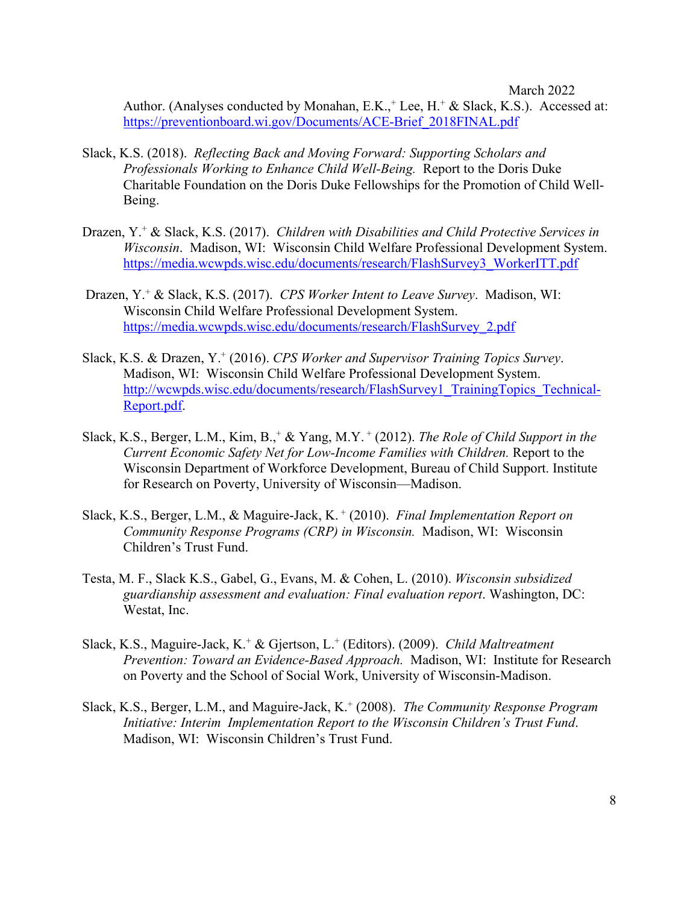Author. (Analyses conducted by Monahan, E.K.,<sup>+</sup> Lee, H.<sup>+</sup> & Slack, K.S.). Accessed at: https://preventionboard.wi.gov/Documents/ACE-Brief\_2018FINAL.pdf

- Slack, K.S. (2018). *Reflecting Back and Moving Forward: Supporting Scholars and Professionals Working to Enhance Child Well-Being.* Report to the Doris Duke Charitable Foundation on the Doris Duke Fellowships for the Promotion of Child Well-Being.
- Drazen, Y.+ & Slack, K.S. (2017). *Children with Disabilities and Child Protective Services in Wisconsin*. Madison, WI: Wisconsin Child Welfare Professional Development System. https://media.wcwpds.wisc.edu/documents/research/FlashSurvey3\_WorkerITT.pdf
- Drazen, Y.+ & Slack, K.S. (2017). *CPS Worker Intent to Leave Survey*. Madison, WI: Wisconsin Child Welfare Professional Development System. https://media.wcwpds.wisc.edu/documents/research/FlashSurvey\_2.pdf
- Slack, K.S. & Drazen, Y.+ (2016). *CPS Worker and Supervisor Training Topics Survey*. Madison, WI: Wisconsin Child Welfare Professional Development System. http://wcwpds.wisc.edu/documents/research/FlashSurvey1\_TrainingTopics\_Technical-Report.pdf.
- Slack, K.S., Berger, L.M., Kim, B.,<sup>+</sup> & Yang, M.Y.<sup>+</sup> (2012). *The Role of Child Support in the Current Economic Safety Net for Low-Income Families with Children.* Report to the Wisconsin Department of Workforce Development, Bureau of Child Support. Institute for Research on Poverty, University of Wisconsin—Madison.
- Slack, K.S., Berger, L.M., & Maguire-Jack, K. <sup>+</sup> (2010). *Final Implementation Report on Community Response Programs (CRP) in Wisconsin.* Madison, WI: Wisconsin Children's Trust Fund.
- Testa, M. F., Slack K.S., Gabel, G., Evans, M. & Cohen, L. (2010). *Wisconsin subsidized guardianship assessment and evaluation: Final evaluation report*. Washington, DC: Westat, Inc.
- Slack, K.S., Maguire-Jack, K.+ & Gjertson, L.+ (Editors). (2009). *Child Maltreatment Prevention: Toward an Evidence-Based Approach.* Madison, WI: Institute for Research on Poverty and the School of Social Work, University of Wisconsin-Madison.
- Slack, K.S., Berger, L.M., and Maguire-Jack, K. <sup>+</sup> (2008). *The Community Response Program Initiative: Interim Implementation Report to the Wisconsin Children's Trust Fund*. Madison, WI: Wisconsin Children's Trust Fund.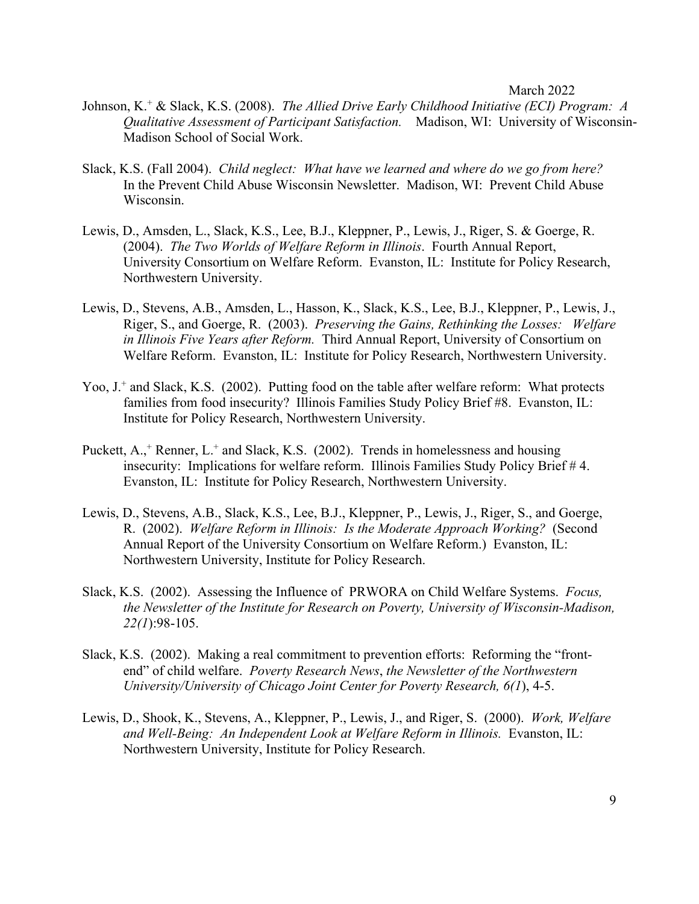- Johnson, K.+ & Slack, K.S. (2008). *The Allied Drive Early Childhood Initiative (ECI) Program: A Qualitative Assessment of Participant Satisfaction.* Madison, WI: University of Wisconsin-Madison School of Social Work.
- Slack, K.S. (Fall 2004). *Child neglect: What have we learned and where do we go from here?* In the Prevent Child Abuse Wisconsin Newsletter. Madison, WI: Prevent Child Abuse Wisconsin.
- Lewis, D., Amsden, L., Slack, K.S., Lee, B.J., Kleppner, P., Lewis, J., Riger, S. & Goerge, R. (2004). *The Two Worlds of Welfare Reform in Illinois*. Fourth Annual Report, University Consortium on Welfare Reform. Evanston, IL: Institute for Policy Research, Northwestern University.
- Lewis, D., Stevens, A.B., Amsden, L., Hasson, K., Slack, K.S., Lee, B.J., Kleppner, P., Lewis, J., Riger, S., and Goerge, R. (2003). *Preserving the Gains, Rethinking the Losses: Welfare in Illinois Five Years after Reform.* Third Annual Report, University of Consortium on Welfare Reform. Evanston, IL: Institute for Policy Research, Northwestern University.
- Yoo, J<sup>+</sup> and Slack, K.S. (2002). Putting food on the table after welfare reform: What protects families from food insecurity? Illinois Families Study Policy Brief #8. Evanston, IL: Institute for Policy Research, Northwestern University.
- Puckett, A.,<sup>+</sup> Renner, L.<sup>+</sup> and Slack, K.S. (2002). Trends in homelessness and housing insecurity: Implications for welfare reform. Illinois Families Study Policy Brief # 4. Evanston, IL: Institute for Policy Research, Northwestern University.
- Lewis, D., Stevens, A.B., Slack, K.S., Lee, B.J., Kleppner, P., Lewis, J., Riger, S., and Goerge, R. (2002). *Welfare Reform in Illinois: Is the Moderate Approach Working?* (Second Annual Report of the University Consortium on Welfare Reform.) Evanston, IL: Northwestern University, Institute for Policy Research.
- Slack, K.S. (2002). Assessing the Influence of PRWORA on Child Welfare Systems. *Focus, the Newsletter of the Institute for Research on Poverty, University of Wisconsin-Madison, 22(1*):98-105.
- Slack, K.S. (2002). Making a real commitment to prevention efforts: Reforming the "frontend" of child welfare. *Poverty Research News*, *the Newsletter of the Northwestern University/University of Chicago Joint Center for Poverty Research, 6(1*), 4-5.
- Lewis, D., Shook, K., Stevens, A., Kleppner, P., Lewis, J., and Riger, S. (2000). *Work, Welfare and Well-Being: An Independent Look at Welfare Reform in Illinois.* Evanston, IL: Northwestern University, Institute for Policy Research.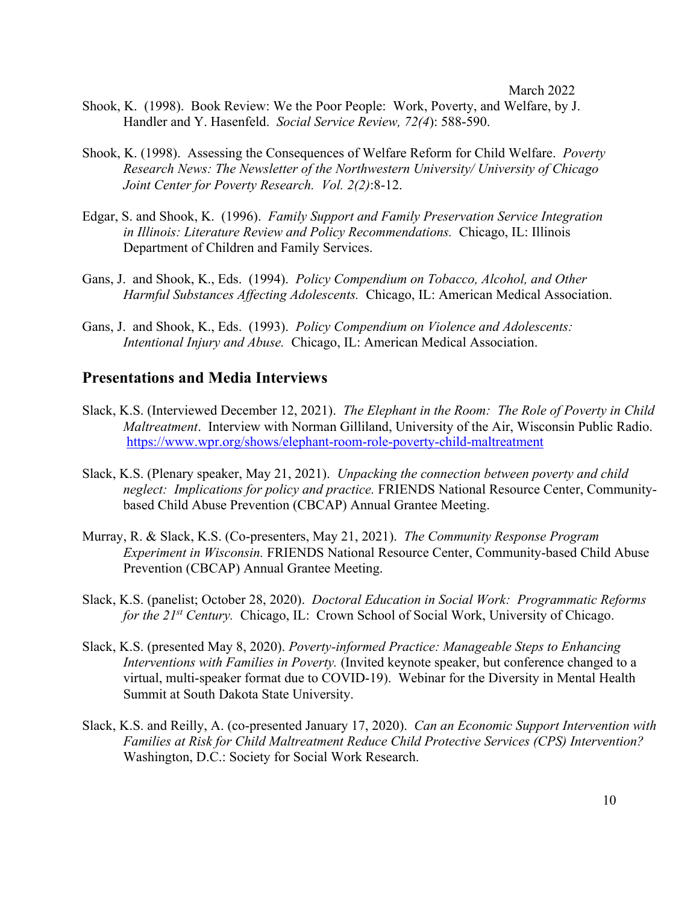- Shook, K. (1998). Book Review: We the Poor People: Work, Poverty, and Welfare, by J. Handler and Y. Hasenfeld. *Social Service Review, 72(4*): 588-590.
- Shook, K. (1998). Assessing the Consequences of Welfare Reform for Child Welfare. *Poverty Research News: The Newsletter of the Northwestern University/ University of Chicago Joint Center for Poverty Research. Vol. 2(2)*:8-12.
- Edgar, S. and Shook, K. (1996). *Family Support and Family Preservation Service Integration in Illinois: Literature Review and Policy Recommendations.* Chicago, IL: Illinois Department of Children and Family Services.
- Gans, J. and Shook, K., Eds. (1994). *Policy Compendium on Tobacco, Alcohol, and Other Harmful Substances Affecting Adolescents.* Chicago, IL: American Medical Association.
- Gans, J. and Shook, K., Eds. (1993). *Policy Compendium on Violence and Adolescents: Intentional Injury and Abuse.* Chicago, IL: American Medical Association.

### **Presentations and Media Interviews**

- Slack, K.S. (Interviewed December 12, 2021). *The Elephant in the Room: The Role of Poverty in Child Maltreatment*. Interview with Norman Gilliland, University of the Air, Wisconsin Public Radio. https://www.wpr.org/shows/elephant-room-role-poverty-child-maltreatment
- Slack, K.S. (Plenary speaker, May 21, 2021). *Unpacking the connection between poverty and child neglect: Implications for policy and practice.* FRIENDS National Resource Center, Communitybased Child Abuse Prevention (CBCAP) Annual Grantee Meeting.
- Murray, R. & Slack, K.S. (Co-presenters, May 21, 2021). *The Community Response Program Experiment in Wisconsin.* FRIENDS National Resource Center, Community-based Child Abuse Prevention (CBCAP) Annual Grantee Meeting.
- Slack, K.S. (panelist; October 28, 2020). *Doctoral Education in Social Work: Programmatic Reforms for the 21st Century.* Chicago, IL: Crown School of Social Work, University of Chicago.
- Slack, K.S. (presented May 8, 2020). *Poverty-informed Practice: Manageable Steps to Enhancing Interventions with Families in Poverty.* (Invited keynote speaker, but conference changed to a virtual, multi-speaker format due to COVID-19).Webinar for the Diversity in Mental Health Summit at South Dakota State University.
- Slack, K.S. and Reilly, A. (co-presented January 17, 2020). *Can an Economic Support Intervention with Families at Risk for Child Maltreatment Reduce Child Protective Services (CPS) Intervention?*  Washington, D.C.: Society for Social Work Research.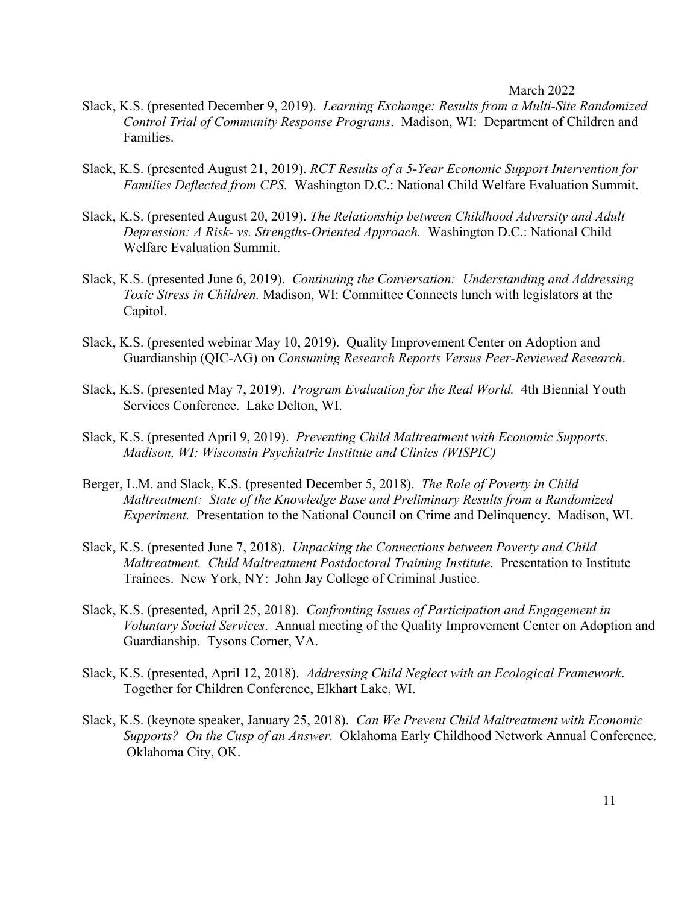- Slack, K.S. (presented December 9, 2019). *Learning Exchange: Results from a Multi-Site Randomized Control Trial of Community Response Programs*. Madison, WI: Department of Children and Families.
- Slack, K.S. (presented August 21, 2019). *RCT Results of a 5-Year Economic Support Intervention for Families Deflected from CPS.* Washington D.C.: National Child Welfare Evaluation Summit.
- Slack, K.S. (presented August 20, 2019). *The Relationship between Childhood Adversity and Adult Depression: A Risk- vs. Strengths-Oriented Approach.* Washington D.C.: National Child Welfare Evaluation Summit.
- Slack, K.S. (presented June 6, 2019). *Continuing the Conversation: Understanding and Addressing Toxic Stress in Children.* Madison, WI: Committee Connects lunch with legislators at the Capitol.
- Slack, K.S. (presented webinar May 10, 2019). Quality Improvement Center on Adoption and Guardianship (QIC-AG) on *Consuming Research Reports Versus Peer-Reviewed Research*.
- Slack, K.S. (presented May 7, 2019). *Program Evaluation for the Real World.* 4th Biennial Youth Services Conference. Lake Delton, WI.
- Slack, K.S. (presented April 9, 2019). *Preventing Child Maltreatment with Economic Supports. Madison, WI: Wisconsin Psychiatric Institute and Clinics (WISPIC)*
- Berger, L.M. and Slack, K.S. (presented December 5, 2018). *The Role of Poverty in Child Maltreatment: State of the Knowledge Base and Preliminary Results from a Randomized Experiment.* Presentation to the National Council on Crime and Delinquency. Madison, WI.
- Slack, K.S. (presented June 7, 2018). *Unpacking the Connections between Poverty and Child Maltreatment. Child Maltreatment Postdoctoral Training Institute.* Presentation to Institute Trainees. New York, NY: John Jay College of Criminal Justice.
- Slack, K.S. (presented, April 25, 2018). *Confronting Issues of Participation and Engagement in Voluntary Social Services*. Annual meeting of the Quality Improvement Center on Adoption and Guardianship. Tysons Corner, VA.
- Slack, K.S. (presented, April 12, 2018). *Addressing Child Neglect with an Ecological Framework*. Together for Children Conference, Elkhart Lake, WI.
- Slack, K.S. (keynote speaker, January 25, 2018). *Can We Prevent Child Maltreatment with Economic Supports? On the Cusp of an Answer.* Oklahoma Early Childhood Network Annual Conference. Oklahoma City, OK.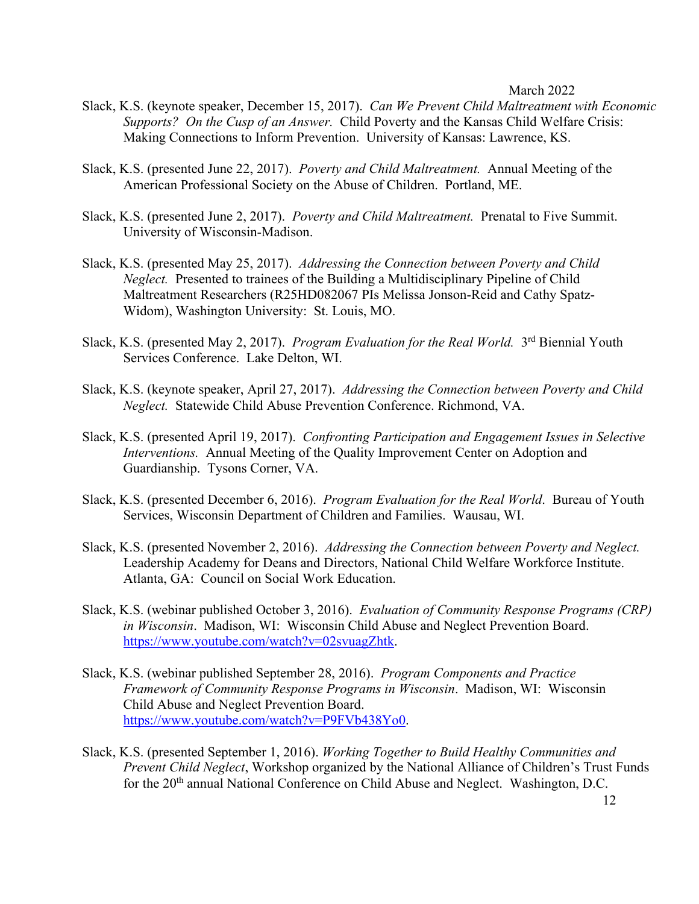- Slack, K.S. (keynote speaker, December 15, 2017). *Can We Prevent Child Maltreatment with Economic Supports? On the Cusp of an Answer.* Child Poverty and the Kansas Child Welfare Crisis: Making Connections to Inform Prevention. University of Kansas: Lawrence, KS.
- Slack, K.S. (presented June 22, 2017). *Poverty and Child Maltreatment.* Annual Meeting of the American Professional Society on the Abuse of Children. Portland, ME.
- Slack, K.S. (presented June 2, 2017). *Poverty and Child Maltreatment.* Prenatal to Five Summit. University of Wisconsin-Madison.
- Slack, K.S. (presented May 25, 2017). *Addressing the Connection between Poverty and Child Neglect.* Presented to trainees of the Building a Multidisciplinary Pipeline of Child Maltreatment Researchers (R25HD082067 PIs Melissa Jonson-Reid and Cathy Spatz-Widom), Washington University: St. Louis, MO.
- Slack, K.S. (presented May 2, 2017). *Program Evaluation for the Real World.* 3<sup>rd</sup> Biennial Youth Services Conference. Lake Delton, WI.
- Slack, K.S. (keynote speaker, April 27, 2017). *Addressing the Connection between Poverty and Child Neglect.* Statewide Child Abuse Prevention Conference. Richmond, VA.
- Slack, K.S. (presented April 19, 2017). *Confronting Participation and Engagement Issues in Selective Interventions.* Annual Meeting of the Quality Improvement Center on Adoption and Guardianship. Tysons Corner, VA.
- Slack, K.S. (presented December 6, 2016). *Program Evaluation for the Real World*. Bureau of Youth Services, Wisconsin Department of Children and Families. Wausau, WI.
- Slack, K.S. (presented November 2, 2016). *Addressing the Connection between Poverty and Neglect.*  Leadership Academy for Deans and Directors, National Child Welfare Workforce Institute. Atlanta, GA: Council on Social Work Education.
- Slack, K.S. (webinar published October 3, 2016). *Evaluation of Community Response Programs (CRP) in Wisconsin*. Madison, WI: Wisconsin Child Abuse and Neglect Prevention Board. https://www.youtube.com/watch?v=02svuagZhtk.
- Slack, K.S. (webinar published September 28, 2016). *Program Components and Practice Framework of Community Response Programs in Wisconsin*. Madison, WI: Wisconsin Child Abuse and Neglect Prevention Board. https://www.youtube.com/watch?v=P9FVb438Yo0.
- Slack, K.S. (presented September 1, 2016). *Working Together to Build Healthy Communities and Prevent Child Neglect*, Workshop organized by the National Alliance of Children's Trust Funds for the 20<sup>th</sup> annual National Conference on Child Abuse and Neglect. Washington, D.C.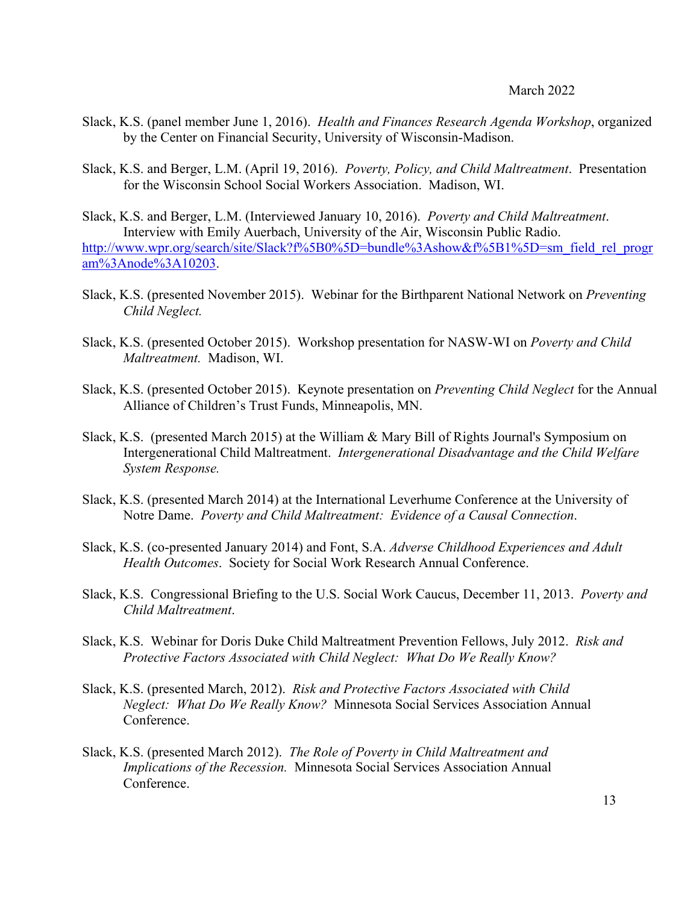- Slack, K.S. (panel member June 1, 2016). *Health and Finances Research Agenda Workshop*, organized by the Center on Financial Security, University of Wisconsin-Madison.
- Slack, K.S. and Berger, L.M. (April 19, 2016). *Poverty, Policy, and Child Maltreatment*. Presentation for the Wisconsin School Social Workers Association. Madison, WI.

Slack, K.S. and Berger, L.M. (Interviewed January 10, 2016). *Poverty and Child Maltreatment*. Interview with Emily Auerbach, University of the Air, Wisconsin Public Radio. http://www.wpr.org/search/site/Slack?f%5B0%5D=bundle%3Ashow&f%5B1%5D=sm\_field\_rel\_progr am%3Anode%3A10203.

- Slack, K.S. (presented November 2015). Webinar for the Birthparent National Network on *Preventing Child Neglect.*
- Slack, K.S. (presented October 2015). Workshop presentation for NASW-WI on *Poverty and Child Maltreatment.* Madison, WI.
- Slack, K.S. (presented October 2015). Keynote presentation on *Preventing Child Neglect* for the Annual Alliance of Children's Trust Funds, Minneapolis, MN.
- Slack, K.S. (presented March 2015) at the William & Mary Bill of Rights Journal's Symposium on Intergenerational Child Maltreatment. *Intergenerational Disadvantage and the Child Welfare System Response.*
- Slack, K.S. (presented March 2014) at the International Leverhume Conference at the University of Notre Dame. *Poverty and Child Maltreatment: Evidence of a Causal Connection*.
- Slack, K.S. (co-presented January 2014) and Font, S.A. *Adverse Childhood Experiences and Adult Health Outcomes*. Society for Social Work Research Annual Conference.
- Slack, K.S. Congressional Briefing to the U.S. Social Work Caucus, December 11, 2013. *Poverty and Child Maltreatment*.
- Slack, K.S. Webinar for Doris Duke Child Maltreatment Prevention Fellows, July 2012. *Risk and Protective Factors Associated with Child Neglect: What Do We Really Know?*
- Slack, K.S. (presented March, 2012). *Risk and Protective Factors Associated with Child Neglect: What Do We Really Know?* Minnesota Social Services Association Annual Conference.
- Slack, K.S. (presented March 2012). *The Role of Poverty in Child Maltreatment and Implications of the Recession.* Minnesota Social Services Association Annual Conference.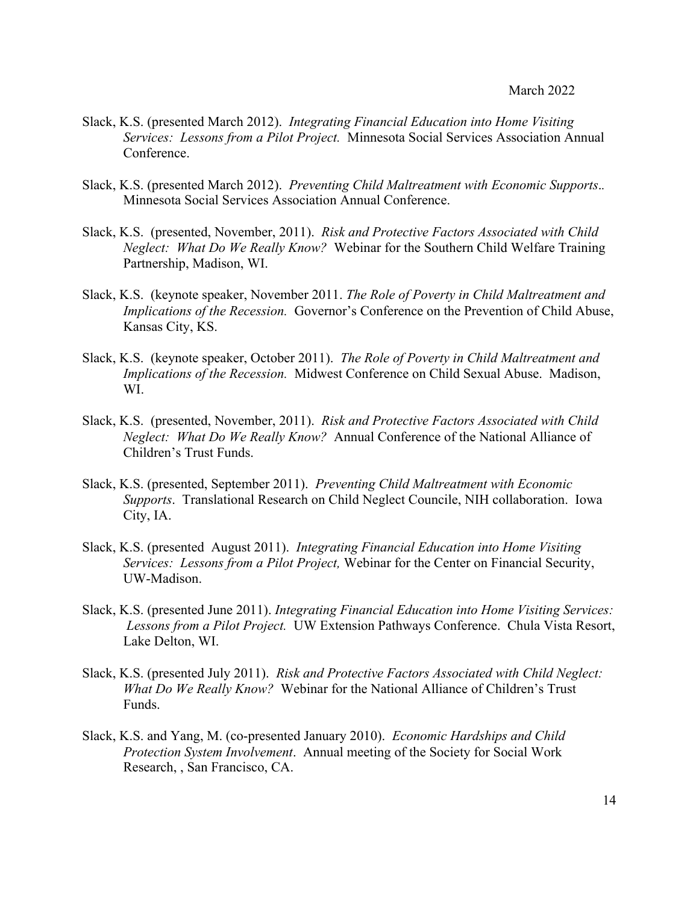- Slack, K.S. (presented March 2012). *Integrating Financial Education into Home Visiting Services: Lessons from a Pilot Project.* Minnesota Social Services Association Annual Conference.
- Slack, K.S. (presented March 2012). *Preventing Child Maltreatment with Economic Supports*.*.* Minnesota Social Services Association Annual Conference.
- Slack, K.S. (presented, November, 2011). *Risk and Protective Factors Associated with Child Neglect: What Do We Really Know?* Webinar for the Southern Child Welfare Training Partnership, Madison, WI.
- Slack, K.S. (keynote speaker, November 2011. *The Role of Poverty in Child Maltreatment and Implications of the Recession.* Governor's Conference on the Prevention of Child Abuse, Kansas City, KS.
- Slack, K.S. (keynote speaker, October 2011). *The Role of Poverty in Child Maltreatment and Implications of the Recession.* Midwest Conference on Child Sexual Abuse. Madison, WI.
- Slack, K.S. (presented, November, 2011). *Risk and Protective Factors Associated with Child Neglect: What Do We Really Know?* Annual Conference of the National Alliance of Children's Trust Funds.
- Slack, K.S. (presented, September 2011). *Preventing Child Maltreatment with Economic Supports*. Translational Research on Child Neglect Councile, NIH collaboration. Iowa City, IA.
- Slack, K.S. (presented August 2011). *Integrating Financial Education into Home Visiting Services: Lessons from a Pilot Project,* Webinar for the Center on Financial Security, UW-Madison.
- Slack, K.S. (presented June 2011). *Integrating Financial Education into Home Visiting Services: Lessons from a Pilot Project.* UW Extension Pathways Conference. Chula Vista Resort, Lake Delton, WI.
- Slack, K.S. (presented July 2011). *Risk and Protective Factors Associated with Child Neglect: What Do We Really Know?* Webinar for the National Alliance of Children's Trust Funds.
- Slack, K.S. and Yang, M. (co-presented January 2010). *Economic Hardships and Child Protection System Involvement*. Annual meeting of the Society for Social Work Research, , San Francisco, CA.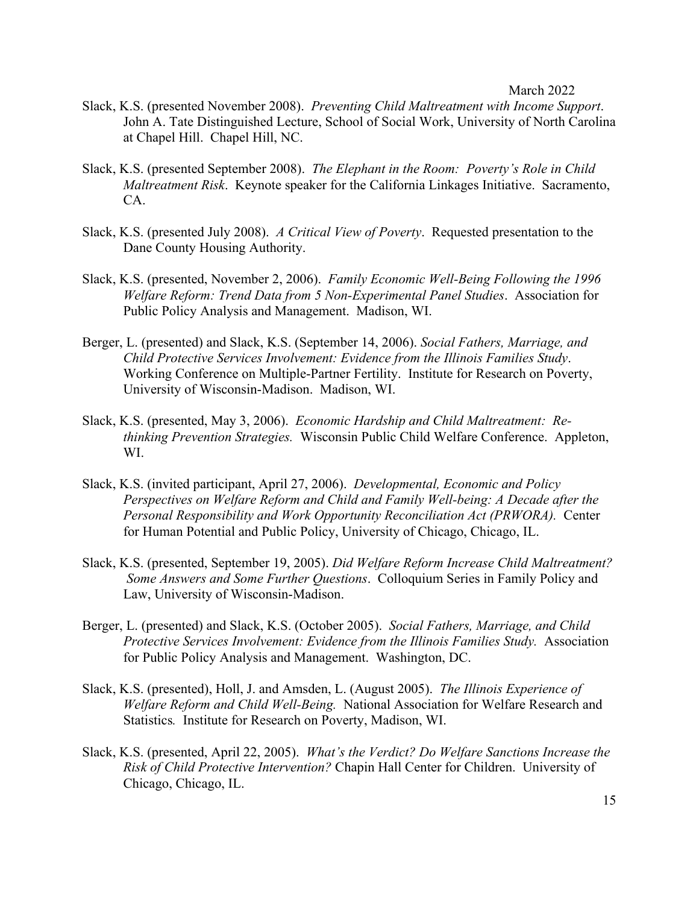- Slack, K.S. (presented November 2008). *Preventing Child Maltreatment with Income Support*. John A. Tate Distinguished Lecture, School of Social Work, University of North Carolina at Chapel Hill. Chapel Hill, NC.
- Slack, K.S. (presented September 2008). *The Elephant in the Room: Poverty's Role in Child Maltreatment Risk*. Keynote speaker for the California Linkages Initiative. Sacramento, CA.
- Slack, K.S. (presented July 2008). *A Critical View of Poverty*. Requested presentation to the Dane County Housing Authority.
- Slack, K.S. (presented, November 2, 2006). *Family Economic Well-Being Following the 1996 Welfare Reform: Trend Data from 5 Non-Experimental Panel Studies*.Association for Public Policy Analysis and Management. Madison, WI.
- Berger, L. (presented) and Slack, K.S. (September 14, 2006). *Social Fathers, Marriage, and Child Protective Services Involvement: Evidence from the Illinois Families Study*. Working Conference on Multiple-Partner Fertility. Institute for Research on Poverty, University of Wisconsin-Madison. Madison, WI.
- Slack, K.S. (presented, May 3, 2006). *Economic Hardship and Child Maltreatment: Rethinking Prevention Strategies.* Wisconsin Public Child Welfare Conference. Appleton, WI.
- Slack, K.S. (invited participant, April 27, 2006). *Developmental, Economic and Policy Perspectives on Welfare Reform and Child and Family Well-being: A Decade after the Personal Responsibility and Work Opportunity Reconciliation Act (PRWORA).* Center for Human Potential and Public Policy, University of Chicago, Chicago, IL.
- Slack, K.S. (presented, September 19, 2005). *Did Welfare Reform Increase Child Maltreatment? Some Answers and Some Further Questions*. Colloquium Series in Family Policy and Law, University of Wisconsin-Madison.
- Berger, L. (presented) and Slack, K.S. (October 2005). *Social Fathers, Marriage, and Child Protective Services Involvement: Evidence from the Illinois Families Study.* Association for Public Policy Analysis and Management. Washington, DC.
- Slack, K.S. (presented), Holl, J. and Amsden, L. (August 2005). *The Illinois Experience of Welfare Reform and Child Well-Being.* National Association for Welfare Research and Statistics*.* Institute for Research on Poverty, Madison, WI.
- Slack, K.S. (presented, April 22, 2005). *What's the Verdict? Do Welfare Sanctions Increase the Risk of Child Protective Intervention?* Chapin Hall Center for Children. University of Chicago, Chicago, IL.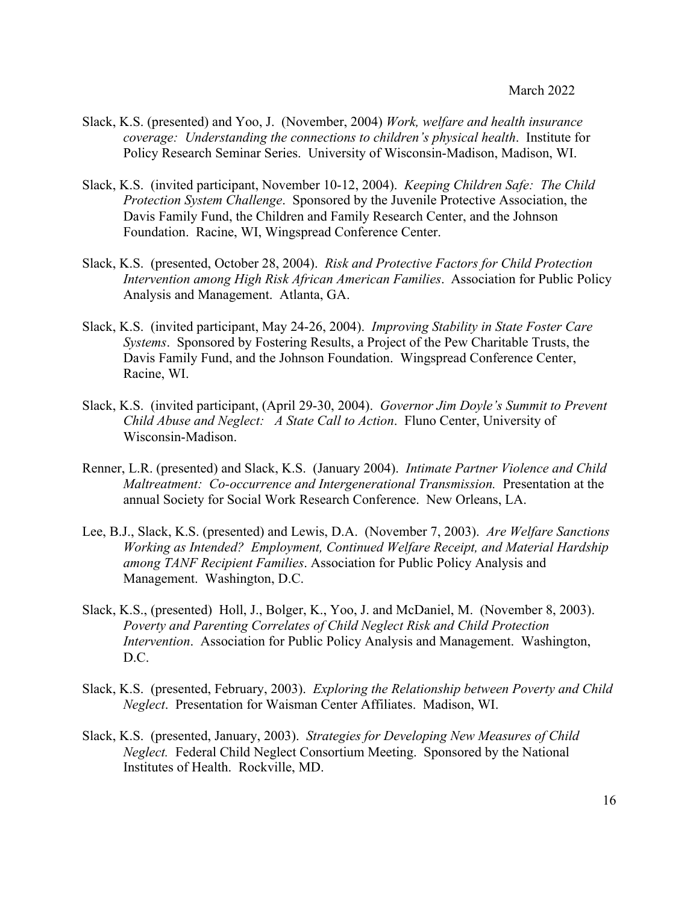- Slack, K.S. (presented) and Yoo, J. (November, 2004) *Work, welfare and health insurance coverage: Understanding the connections to children's physical health*. Institute for Policy Research Seminar Series. University of Wisconsin-Madison, Madison, WI.
- Slack, K.S. (invited participant, November 10-12, 2004). *Keeping Children Safe: The Child Protection System Challenge*. Sponsored by the Juvenile Protective Association, the Davis Family Fund, the Children and Family Research Center, and the Johnson Foundation. Racine, WI, Wingspread Conference Center.
- Slack, K.S. (presented, October 28, 2004). *Risk and Protective Factors for Child Protection Intervention among High Risk African American Families*. Association for Public Policy Analysis and Management. Atlanta, GA.
- Slack, K.S. (invited participant, May 24-26, 2004). *Improving Stability in State Foster Care Systems*. Sponsored by Fostering Results, a Project of the Pew Charitable Trusts, the Davis Family Fund, and the Johnson Foundation. Wingspread Conference Center, Racine, WI.
- Slack, K.S. (invited participant, (April 29-30, 2004). *Governor Jim Doyle's Summit to Prevent Child Abuse and Neglect: A State Call to Action*. Fluno Center, University of Wisconsin-Madison.
- Renner, L.R. (presented) and Slack, K.S. (January 2004). *Intimate Partner Violence and Child Maltreatment: Co-occurrence and Intergenerational Transmission.* Presentation at the annual Society for Social Work Research Conference. New Orleans, LA.
- Lee, B.J., Slack, K.S. (presented) and Lewis, D.A. (November 7, 2003). *Are Welfare Sanctions Working as Intended? Employment, Continued Welfare Receipt, and Material Hardship among TANF Recipient Families*. Association for Public Policy Analysis and Management. Washington, D.C.
- Slack, K.S., (presented) Holl, J., Bolger, K., Yoo, J. and McDaniel, M. (November 8, 2003). *Poverty and Parenting Correlates of Child Neglect Risk and Child Protection Intervention*. Association for Public Policy Analysis and Management. Washington, D.C.
- Slack, K.S. (presented, February, 2003). *Exploring the Relationship between Poverty and Child Neglect*. Presentation for Waisman Center Affiliates. Madison, WI.
- Slack, K.S. (presented, January, 2003). *Strategies for Developing New Measures of Child Neglect.* Federal Child Neglect Consortium Meeting. Sponsored by the National Institutes of Health. Rockville, MD.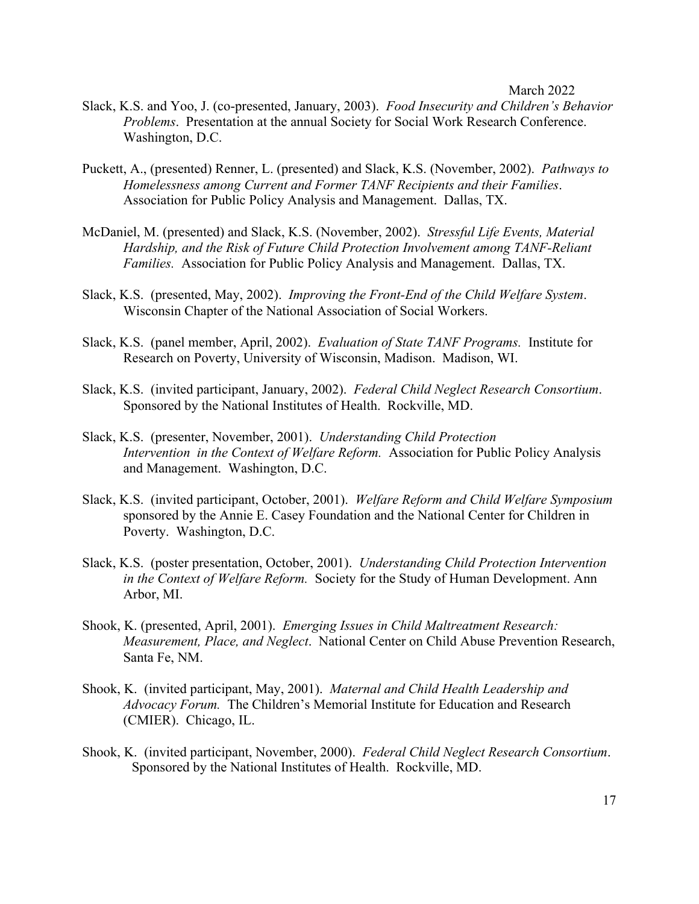- Slack, K.S. and Yoo, J. (co-presented, January, 2003). *Food Insecurity and Children's Behavior Problems*. Presentation at the annual Society for Social Work Research Conference. Washington, D.C.
- Puckett, A., (presented) Renner, L. (presented) and Slack, K.S. (November, 2002). *Pathways to Homelessness among Current and Former TANF Recipients and their Families*. Association for Public Policy Analysis and Management. Dallas, TX.
- McDaniel, M. (presented) and Slack, K.S. (November, 2002). *Stressful Life Events, Material Hardship, and the Risk of Future Child Protection Involvement among TANF-Reliant Families.* Association for Public Policy Analysis and Management. Dallas, TX.
- Slack, K.S. (presented, May, 2002). *Improving the Front-End of the Child Welfare System*. Wisconsin Chapter of the National Association of Social Workers.
- Slack, K.S. (panel member, April, 2002). *Evaluation of State TANF Programs.* Institute for Research on Poverty, University of Wisconsin, Madison. Madison, WI.
- Slack, K.S. (invited participant, January, 2002). *Federal Child Neglect Research Consortium*. Sponsored by the National Institutes of Health. Rockville, MD.
- Slack, K.S. (presenter, November, 2001). *Understanding Child Protection Intervention in the Context of Welfare Reform.* Association for Public Policy Analysis and Management. Washington, D.C.
- Slack, K.S. (invited participant, October, 2001). *Welfare Reform and Child Welfare Symposium* sponsored by the Annie E. Casey Foundation and the National Center for Children in Poverty. Washington, D.C.
- Slack, K.S. (poster presentation, October, 2001). *Understanding Child Protection Intervention in the Context of Welfare Reform.* Society for the Study of Human Development. Ann Arbor, MI.
- Shook, K. (presented, April, 2001). *Emerging Issues in Child Maltreatment Research: Measurement, Place, and Neglect*. National Center on Child Abuse Prevention Research, Santa Fe, NM.
- Shook, K. (invited participant, May, 2001). *Maternal and Child Health Leadership and Advocacy Forum.* The Children's Memorial Institute for Education and Research (CMIER). Chicago, IL.
- Shook, K. (invited participant, November, 2000). *Federal Child Neglect Research Consortium*. Sponsored by the National Institutes of Health. Rockville, MD.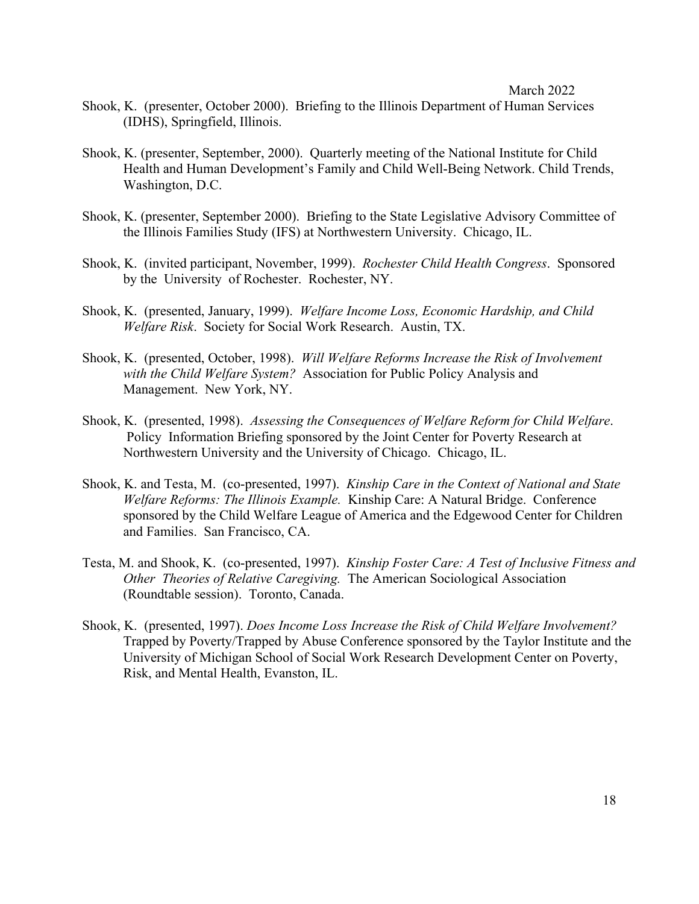- Shook, K. (presenter, October 2000). Briefing to the Illinois Department of Human Services (IDHS), Springfield, Illinois.
- Shook, K. (presenter, September, 2000). Quarterly meeting of the National Institute for Child Health and Human Development's Family and Child Well-Being Network. Child Trends, Washington, D.C.
- Shook, K. (presenter, September 2000). Briefing to the State Legislative Advisory Committee of the Illinois Families Study (IFS) at Northwestern University. Chicago, IL.
- Shook, K. (invited participant, November, 1999). *Rochester Child Health Congress*. Sponsored by the University of Rochester. Rochester, NY.
- Shook, K. (presented, January, 1999). *Welfare Income Loss, Economic Hardship, and Child Welfare Risk*. Society for Social Work Research. Austin, TX.
- Shook, K. (presented, October, 1998). *Will Welfare Reforms Increase the Risk of Involvement with the Child Welfare System?* Association for Public Policy Analysis and Management. New York, NY.
- Shook, K. (presented, 1998). *Assessing the Consequences of Welfare Reform for Child Welfare*. Policy Information Briefing sponsored by the Joint Center for Poverty Research at Northwestern University and the University of Chicago. Chicago, IL.
- Shook, K. and Testa, M. (co-presented, 1997). *Kinship Care in the Context of National and State Welfare Reforms: The Illinois Example.* Kinship Care: A Natural Bridge. Conference sponsored by the Child Welfare League of America and the Edgewood Center for Children and Families. San Francisco, CA.
- Testa, M. and Shook, K. (co-presented, 1997). *Kinship Foster Care: A Test of Inclusive Fitness and Other Theories of Relative Caregiving.* The American Sociological Association (Roundtable session). Toronto, Canada.
- Shook, K. (presented, 1997). *Does Income Loss Increase the Risk of Child Welfare Involvement?*  Trapped by Poverty/Trapped by Abuse Conference sponsored by the Taylor Institute and the University of Michigan School of Social Work Research Development Center on Poverty, Risk, and Mental Health, Evanston, IL.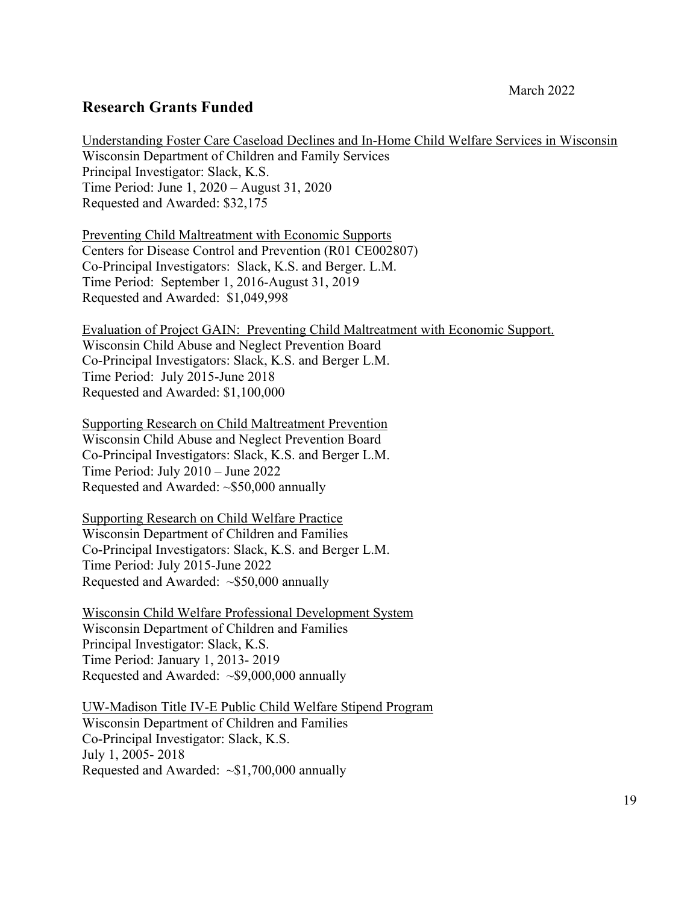## **Research Grants Funded**

Understanding Foster Care Caseload Declines and In-Home Child Welfare Services in Wisconsin Wisconsin Department of Children and Family Services Principal Investigator: Slack, K.S. Time Period: June 1, 2020 – August 31, 2020 Requested and Awarded: \$32,175

Preventing Child Maltreatment with Economic Supports Centers for Disease Control and Prevention (R01 CE002807) Co-Principal Investigators: Slack, K.S. and Berger. L.M. Time Period: September 1, 2016-August 31, 2019 Requested and Awarded: \$1,049,998

Evaluation of Project GAIN: Preventing Child Maltreatment with Economic Support. Wisconsin Child Abuse and Neglect Prevention Board Co-Principal Investigators: Slack, K.S. and Berger L.M. Time Period: July 2015-June 2018 Requested and Awarded: \$1,100,000

Supporting Research on Child Maltreatment Prevention Wisconsin Child Abuse and Neglect Prevention Board Co-Principal Investigators: Slack, K.S. and Berger L.M. Time Period: July 2010 – June 2022 Requested and Awarded: ~\$50,000 annually

Supporting Research on Child Welfare Practice Wisconsin Department of Children and Families Co-Principal Investigators: Slack, K.S. and Berger L.M. Time Period: July 2015-June 2022 Requested and Awarded: ~\$50,000 annually

Wisconsin Child Welfare Professional Development System Wisconsin Department of Children and Families Principal Investigator: Slack, K.S. Time Period: January 1, 2013- 2019 Requested and Awarded: ~\$9,000,000 annually

UW-Madison Title IV-E Public Child Welfare Stipend Program Wisconsin Department of Children and Families Co-Principal Investigator: Slack, K.S. July 1, 2005- 2018 Requested and Awarded:  $\sim $1,700,000$  annually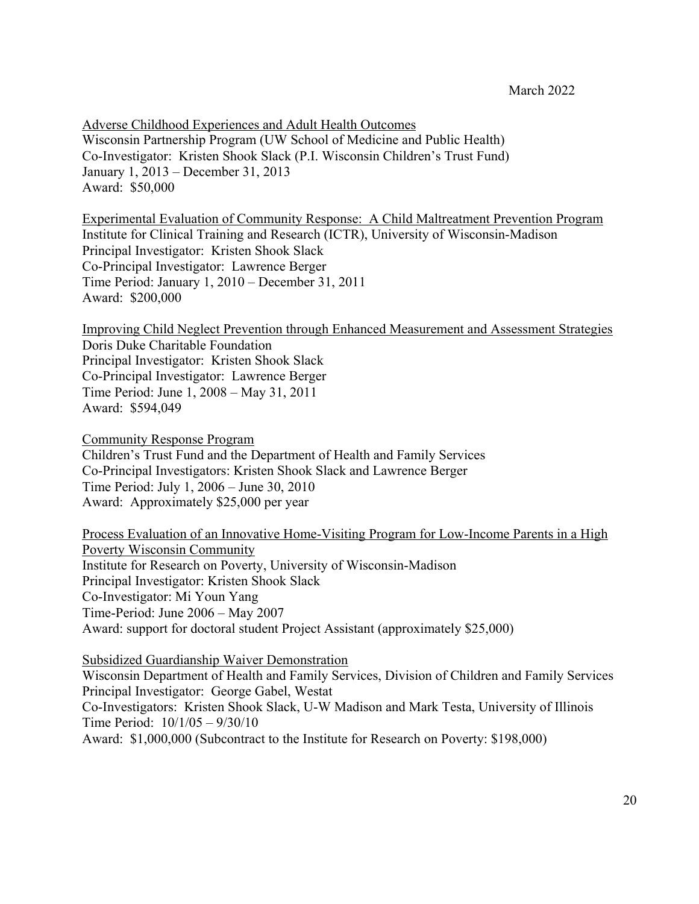Adverse Childhood Experiences and Adult Health Outcomes Wisconsin Partnership Program (UW School of Medicine and Public Health) Co-Investigator: Kristen Shook Slack (P.I. Wisconsin Children's Trust Fund) January 1, 2013 – December 31, 2013 Award: \$50,000

Experimental Evaluation of Community Response: A Child Maltreatment Prevention Program Institute for Clinical Training and Research (ICTR), University of Wisconsin-Madison Principal Investigator: Kristen Shook Slack Co-Principal Investigator: Lawrence Berger Time Period: January 1, 2010 – December 31, 2011 Award: \$200,000

Improving Child Neglect Prevention through Enhanced Measurement and Assessment Strategies Doris Duke Charitable Foundation Principal Investigator: Kristen Shook Slack Co-Principal Investigator: Lawrence Berger Time Period: June 1, 2008 – May 31, 2011 Award: \$594,049

Community Response Program Children's Trust Fund and the Department of Health and Family Services Co-Principal Investigators: Kristen Shook Slack and Lawrence Berger Time Period: July 1, 2006 – June 30, 2010 Award: Approximately \$25,000 per year

Process Evaluation of an Innovative Home-Visiting Program for Low-Income Parents in a High Poverty Wisconsin Community Institute for Research on Poverty, University of Wisconsin-Madison Principal Investigator: Kristen Shook Slack Co-Investigator: Mi Youn Yang Time-Period: June 2006 – May 2007 Award: support for doctoral student Project Assistant (approximately \$25,000)

Subsidized Guardianship Waiver Demonstration Wisconsin Department of Health and Family Services, Division of Children and Family Services Principal Investigator: George Gabel, Westat Co-Investigators: Kristen Shook Slack, U-W Madison and Mark Testa, University of Illinois Time Period: 10/1/05 – 9/30/10 Award: \$1,000,000 (Subcontract to the Institute for Research on Poverty: \$198,000)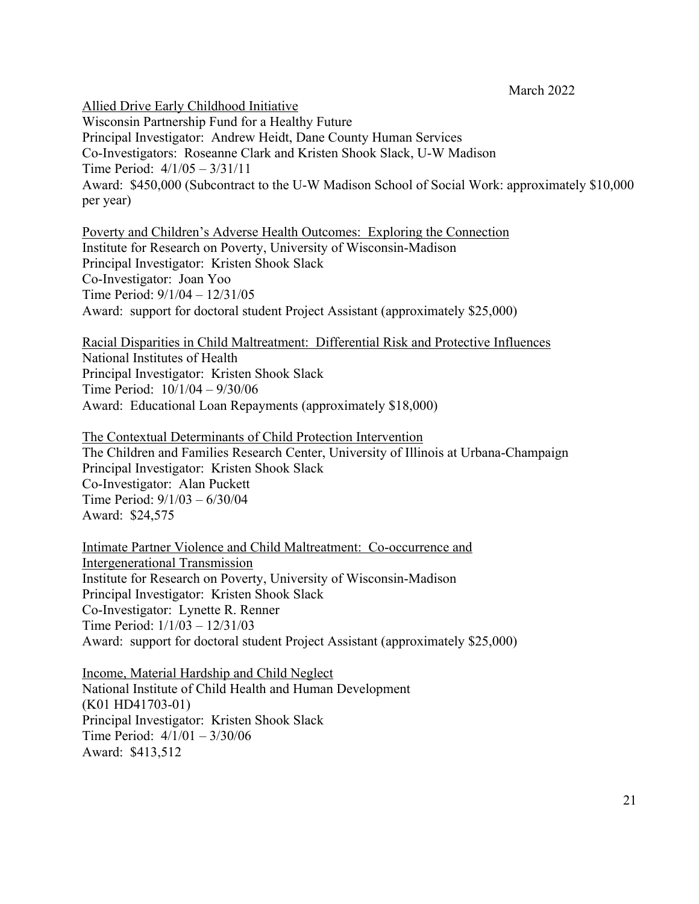Allied Drive Early Childhood Initiative

Wisconsin Partnership Fund for a Healthy Future Principal Investigator: Andrew Heidt, Dane County Human Services Co-Investigators: Roseanne Clark and Kristen Shook Slack, U-W Madison Time Period: 4/1/05 – 3/31/11 Award: \$450,000 (Subcontract to the U-W Madison School of Social Work: approximately \$10,000 per year)

Poverty and Children's Adverse Health Outcomes: Exploring the Connection Institute for Research on Poverty, University of Wisconsin-Madison Principal Investigator: Kristen Shook Slack Co-Investigator: Joan Yoo Time Period: 9/1/04 – 12/31/05 Award: support for doctoral student Project Assistant (approximately \$25,000)

Racial Disparities in Child Maltreatment: Differential Risk and Protective Influences National Institutes of Health Principal Investigator: Kristen Shook Slack Time Period: 10/1/04 – 9/30/06 Award: Educational Loan Repayments (approximately \$18,000)

The Contextual Determinants of Child Protection Intervention The Children and Families Research Center, University of Illinois at Urbana-Champaign Principal Investigator: Kristen Shook Slack Co-Investigator: Alan Puckett Time Period: 9/1/03 – 6/30/04 Award: \$24,575

Intimate Partner Violence and Child Maltreatment: Co-occurrence and Intergenerational Transmission Institute for Research on Poverty, University of Wisconsin-Madison Principal Investigator: Kristen Shook Slack Co-Investigator: Lynette R. Renner Time Period: 1/1/03 – 12/31/03 Award: support for doctoral student Project Assistant (approximately \$25,000)

Income, Material Hardship and Child Neglect National Institute of Child Health and Human Development (K01 HD41703-01) Principal Investigator: Kristen Shook Slack Time Period: 4/1/01 – 3/30/06 Award: \$413,512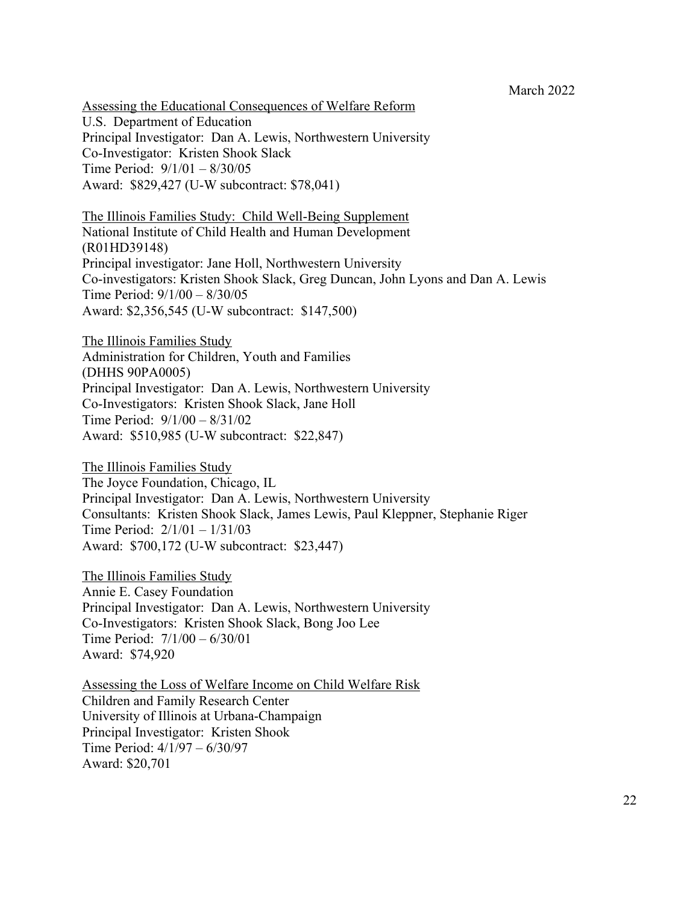Assessing the Educational Consequences of Welfare Reform U.S. Department of Education Principal Investigator: Dan A. Lewis, Northwestern University Co-Investigator: Kristen Shook Slack Time Period: 9/1/01 – 8/30/05 Award: \$829,427 (U-W subcontract: \$78,041)

The Illinois Families Study: Child Well-Being Supplement National Institute of Child Health and Human Development (R01HD39148) Principal investigator: Jane Holl, Northwestern University Co-investigators: Kristen Shook Slack, Greg Duncan, John Lyons and Dan A. Lewis Time Period: 9/1/00 – 8/30/05 Award: \$2,356,545 (U-W subcontract: \$147,500)

The Illinois Families Study Administration for Children, Youth and Families (DHHS 90PA0005) Principal Investigator: Dan A. Lewis, Northwestern University Co-Investigators: Kristen Shook Slack, Jane Holl Time Period: 9/1/00 – 8/31/02 Award: \$510,985 (U-W subcontract: \$22,847)

The Illinois Families Study The Joyce Foundation, Chicago, IL Principal Investigator: Dan A. Lewis, Northwestern University Consultants: Kristen Shook Slack, James Lewis, Paul Kleppner, Stephanie Riger Time Period: 2/1/01 – 1/31/03 Award: \$700,172 (U-W subcontract: \$23,447)

The Illinois Families Study Annie E. Casey Foundation Principal Investigator: Dan A. Lewis, Northwestern University Co-Investigators: Kristen Shook Slack, Bong Joo Lee Time Period: 7/1/00 – 6/30/01 Award: \$74,920

Assessing the Loss of Welfare Income on Child Welfare Risk Children and Family Research Center University of Illinois at Urbana-Champaign Principal Investigator: Kristen Shook Time Period: 4/1/97 – 6/30/97 Award: \$20,701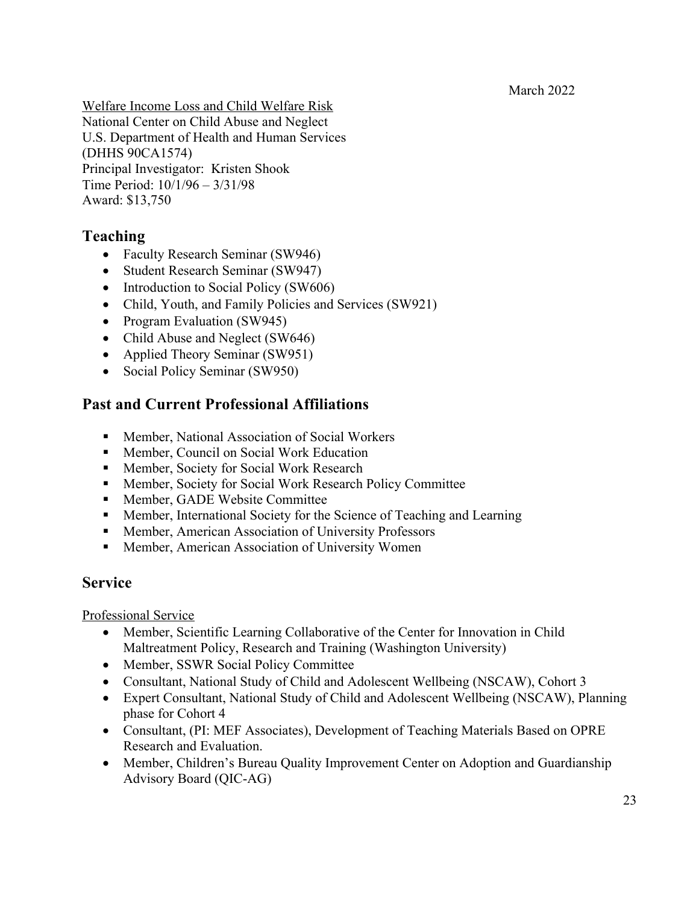Welfare Income Loss and Child Welfare Risk National Center on Child Abuse and Neglect U.S. Department of Health and Human Services (DHHS 90CA1574) Principal Investigator: Kristen Shook Time Period: 10/1/96 – 3/31/98 Award: \$13,750

## **Teaching**

- Faculty Research Seminar (SW946)
- Student Research Seminar (SW947)
- Introduction to Social Policy (SW606)
- Child, Youth, and Family Policies and Services (SW921)
- Program Evaluation (SW945)
- Child Abuse and Neglect (SW646)
- Applied Theory Seminar (SW951)
- Social Policy Seminar (SW950)

## **Past and Current Professional Affiliations**

- Member, National Association of Social Workers
- Member, Council on Social Work Education
- Member, Society for Social Work Research
- Member, Society for Social Work Research Policy Committee
- Member, GADE Website Committee
- Member, International Society for the Science of Teaching and Learning
- Member, American Association of University Professors
- Member, American Association of University Women

## **Service**

Professional Service

- Member, Scientific Learning Collaborative of the Center for Innovation in Child Maltreatment Policy, Research and Training (Washington University)
- Member, SSWR Social Policy Committee
- Consultant, National Study of Child and Adolescent Wellbeing (NSCAW), Cohort 3
- Expert Consultant, National Study of Child and Adolescent Wellbeing (NSCAW), Planning phase for Cohort 4
- Consultant, (PI: MEF Associates), Development of Teaching Materials Based on OPRE Research and Evaluation.
- Member, Children's Bureau Quality Improvement Center on Adoption and Guardianship Advisory Board (QIC-AG)